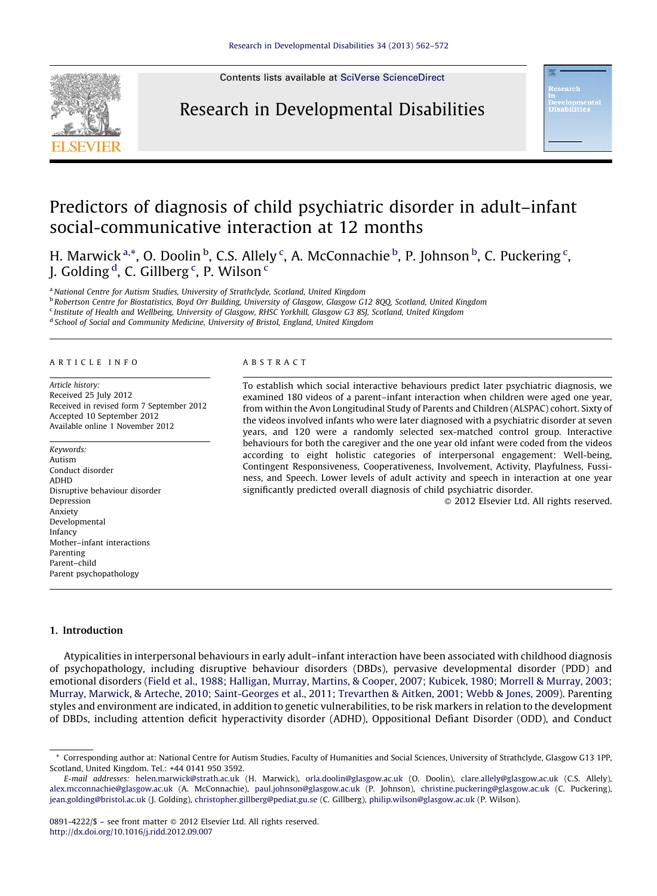

Contents lists available at SciVerse [ScienceDirect](http://www.sciencedirect.com/science/journal/08914222)

### Research in Developmental Disabilities

## Predictors of diagnosis of child psychiatric disorder in adult–infant social-communicative interaction at 12 months

H. Marwick<sup>a,\*</sup>, O. Doolin <sup>b</sup>, C.S. Allely <sup>c</sup>, A. McConnachie <sup>b</sup>, P. Johnson <sup>b</sup>, C. Puckering <sup>c</sup>, J. Golding <sup>d</sup>, C. Gillberg <sup>c</sup>, P. Wilson <sup>c</sup>

<sup>a</sup> National Centre for Autism Studies, University of Strathclyde, Scotland, United Kingdom

**b Robertson Centre for Biostatistics, Boyd Orr Building, University of Glasgow, Glasgow G12 8QQ, Scotland, United Kingdom** <sup>c</sup> Institute of Health and Wellbeing, University of Glasgow, RHSC Yorkhill, Glasgow G3 8SJ, Scotland, United Kingdom

<sup>d</sup> School of Social and Community Medicine, University of Bristol, England, United Kingdom

#### A R T I C L E I N F O

Article history: Received 25 July 2012 Received in revised form 7 September 2012 Accepted 10 September 2012 Available online 1 November 2012

Keywords: Autism Conduct disorder ADHD Disruptive behaviour disorder Depression Anxiety Developmental Infancy Mother–infant interactions Parenting Parent–child Parent psychopathology

#### A B S T R A C T

To establish which social interactive behaviours predict later psychiatric diagnosis, we examined 180 videos of a parent–infant interaction when children were aged one year, from within the Avon Longitudinal Study of Parents and Children (ALSPAC) cohort. Sixty of the videos involved infants who were later diagnosed with a psychiatric disorder at seven years, and 120 were a randomly selected sex-matched control group. Interactive behaviours for both the caregiver and the one year old infant were coded from the videos according to eight holistic categories of interpersonal engagement: Well-being, Contingent Responsiveness, Cooperativeness, Involvement, Activity, Playfulness, Fussiness, and Speech. Lower levels of adult activity and speech in interaction at one year significantly predicted overall diagnosis of child psychiatric disorder.

- 2012 Elsevier Ltd. All rights reserved.

#### 1. Introduction

Atypicalities in interpersonal behaviours in early adult–infant interaction have been associated with childhood diagnosis of psychopathology, including disruptive behaviour disorders (DBDs), pervasive developmental disorder (PDD) and emotional disorders (Field et al., 1988; [Halligan,](#page--1-0) Murray, Martins, & Cooper, 2007; Kubicek, 1980; Morrell & Murray, 2003; Murray, Marwick, & Arteche, 2010; [Saint-Georges](#page--1-0) et al., 2011; Trevarthen & Aitken, 2001; Webb & Jones, 2009). Parenting styles and environment are indicated, in addition to genetic vulnerabilities, to be risk markers in relation to the development of DBDs, including attention deficit hyperactivity disorder (ADHD), Oppositional Defiant Disorder (ODD), and Conduct

<sup>\*</sup> Corresponding author at: National Centre for Autism Studies, Faculty of Humanities and Social Sciences, University of Strathclyde, Glasgow G13 1PP, Scotland, United Kingdom. Tel.: +44 0141 950 3592.

E-mail addresses: [helen.marwick@strath.ac.uk](mailto:helen.marwick@strath.ac.uk) (H. Marwick), [orla.doolin@glasgow.ac.uk](mailto:orla.doolin@glasgow.ac.uk) (O. Doolin), [clare.allely@glasgow.ac.uk](mailto:clare.allely@glasgow.ac.uk) (C.S. Allely), [alex.mcconnachie@glasgow.ac.uk](mailto:alex.mcconnachie@glasgow.ac.uk) (A. McConnachie), [paul.johnson@glasgow.ac.uk](mailto:paul.johnson@glasgow.ac.uk) (P. Johnson), [christine.puckering@glasgow.ac.uk](mailto:christine.puckering@glasgow.ac.uk) (C. Puckering), [jean.golding@bristol.ac.uk](mailto:jean.golding@bristol.ac.uk) (J. Golding), [christopher.gillberg@pediat.gu.se](mailto:christopher.gillberg@pediat.gu.se) (C. Gillberg), [philip.wilson@glasgow.ac.uk](mailto:philip.wilson@glasgow.ac.uk) (P. Wilson).

<sup>0891-4222/\$ –</sup> see front matter © 2012 Elsevier Ltd. All rights reserved. <http://dx.doi.org/10.1016/j.ridd.2012.09.007>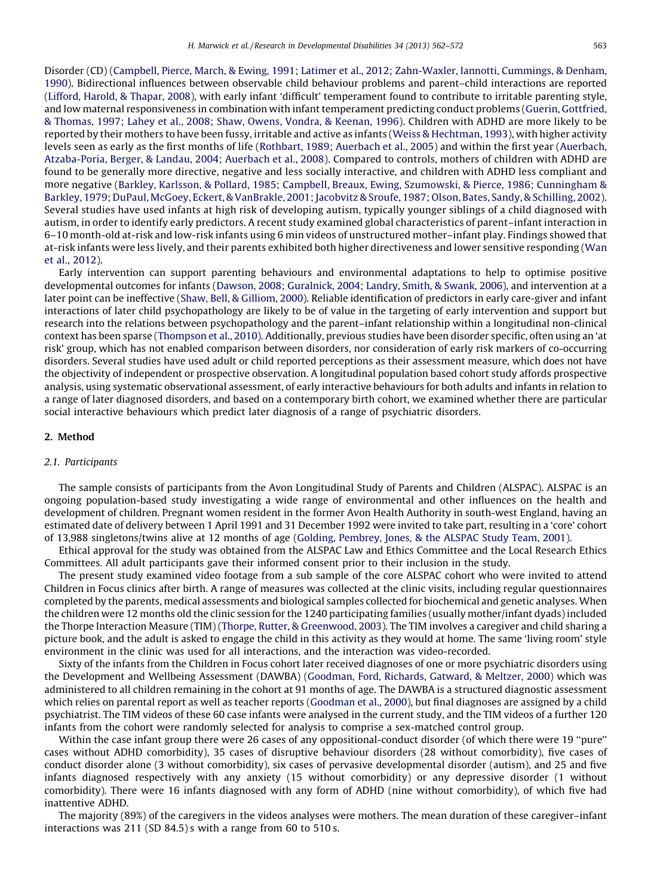Disorder (CD) (Campbell, Pierce, March, & Ewing, 1991; Latimer et al., 2012; [Zahn-Waxler,](#page--1-0) Iannotti, Cummings, & Denham, [1990](#page--1-0)). Bidirectional influences between observable child behaviour problems and parent–child interactions are reported (Lifford, Harold, & [Thapar,](#page--1-0) 2008), with early infant 'difficult' temperament found to contribute to irritable parenting style, and low maternal responsiveness in combination with infant temperament predicting conduct problems (Guerin, [Gottfried,](#page--1-0) & [Thomas,](#page--1-0) 1997; Lahey et al., 2008; Shaw, Owens, Vondra, & Keenan, 1996). Children with ADHD are more likely to be reported by their mothers to have been fussy, irritable and active as infants (Weiss & [Hechtman,](#page--1-0) 1993), with higher activity levels seen as early as the first months of life (Rothbart, 1989; [Auerbach](#page--1-0) et al., 2005) and within the first year [\(Auerbach,](#page--1-0) [Atzaba-Poria,](#page--1-0) Berger, & Landau, 2004; Auerbach et al., 2008). Compared to controls, mothers of children with ADHD are found to be generally more directive, negative and less socially interactive, and children with ADHD less compliant and more negative (Barkley, Karlsson, & Pollard, 1985; Campbell, Breaux, Ewing, Szumowski, & Pierce, 1986; [Cunningham](#page--1-0) & Barkley, 1979; DuPaul, McGoey, Eckert, & VanBrakle, 2001; Jacobvitz & Sroufe, 1987; Olson, Bates, Sandy, & Schilling, 2002). Several studies have used infants at high risk of developing autism, typically younger siblings of a child diagnosed with autism, in order to identify early predictors. A recent study examined global characteristics of parent–infant interaction in 6–10 month-old at-risk and low-risk infants using 6 min videos of unstructured mother–infant play. Findings showed that at-risk infants were less lively, and their parents exhibited both higher directiveness and lower sensitive responding ([Wan](#page--1-0) et al., [2012](#page--1-0)).

Early intervention can support parenting behaviours and environmental adaptations to help to optimise positive developmental outcomes for infants (Dawson, 2008; [Guralnick,](#page--1-0) 2004; Landry, Smith, & Swank, 2006), and intervention at a later point can be ineffective (Shaw, Bell, & [Gilliom,](#page--1-0) 2000). Reliable identification of predictors in early care-giver and infant interactions of later child psychopathology are likely to be of value in the targeting of early intervention and support but research into the relations between psychopathology and the parent–infant relationship within a longitudinal non-clinical context has been sparse ([Thompson](#page--1-0) et al., 2010). Additionally, previous studies have been disorder specific, often using an 'at risk' group, which has not enabled comparison between disorders, nor consideration of early risk markers of co-occurring disorders. Several studies have used adult or child reported perceptions as their assessment measure, which does not have the objectivity of independent or prospective observation. A longitudinal population based cohort study affords prospective analysis, using systematic observational assessment, of early interactive behaviours for both adults and infants in relation to a range of later diagnosed disorders, and based on a contemporary birth cohort, we examined whether there are particular social interactive behaviours which predict later diagnosis of a range of psychiatric disorders.

#### 2. Method

#### 2.1. Participants

The sample consists of participants from the Avon Longitudinal Study of Parents and Children (ALSPAC). ALSPAC is an ongoing population-based study investigating a wide range of environmental and other influences on the health and development of children. Pregnant women resident in the former Avon Health Authority in south-west England, having an estimated date of delivery between 1 April 1991 and 31 December 1992 were invited to take part, resulting in a 'core' cohort of 13,988 singletons/twins alive at 12 months of age (Golding, [Pembrey,](#page--1-0) Jones, & the ALSPAC Study Team, 2001).

Ethical approval for the study was obtained from the ALSPAC Law and Ethics Committee and the Local Research Ethics Committees. All adult participants gave their informed consent prior to their inclusion in the study.

The present study examined video footage from a sub sample of the core ALSPAC cohort who were invited to attend Children in Focus clinics after birth. A range of measures was collected at the clinic visits, including regular questionnaires completed by the parents, medical assessments and biological samples collected for biochemical and genetic analyses. When the children were 12 months old the clinic session for the 1240 participating families (usually mother/infant dyads) included the Thorpe Interaction Measure (TIM) (Thorpe, Rutter, & [Greenwood,](#page--1-0) 2003). The TIM involves a caregiver and child sharing a picture book, and the adult is asked to engage the child in this activity as they would at home. The same 'living room' style environment in the clinic was used for all interactions, and the interaction was video-recorded.

Sixty of the infants from the Children in Focus cohort later received diagnoses of one or more psychiatric disorders using the Development and Wellbeing Assessment (DAWBA) [\(Goodman,](#page--1-0) Ford, Richards, Gatward, & Meltzer, 2000) which was administered to all children remaining in the cohort at 91 months of age. The DAWBA is a structured diagnostic assessment which relies on parental report as well as teacher reports [\(Goodman](#page--1-0) et al., 2000), but final diagnoses are assigned by a child psychiatrist. The TIM videos of these 60 case infants were analysed in the current study, and the TIM videos of a further 120 infants from the cohort were randomly selected for analysis to comprise a sex-matched control group.

Within the case infant group there were 26 cases of any oppositional-conduct disorder (of which there were 19 ''pure'' cases without ADHD comorbidity), 35 cases of disruptive behaviour disorders (28 without comorbidity), five cases of conduct disorder alone (3 without comorbidity), six cases of pervasive developmental disorder (autism), and 25 and five infants diagnosed respectively with any anxiety (15 without comorbidity) or any depressive disorder (1 without comorbidity). There were 16 infants diagnosed with any form of ADHD (nine without comorbidity), of which five had inattentive ADHD.

The majority (89%) of the caregivers in the videos analyses were mothers. The mean duration of these caregiver–infant interactions was 211 (SD 84.5) s with a range from 60 to 510 s.